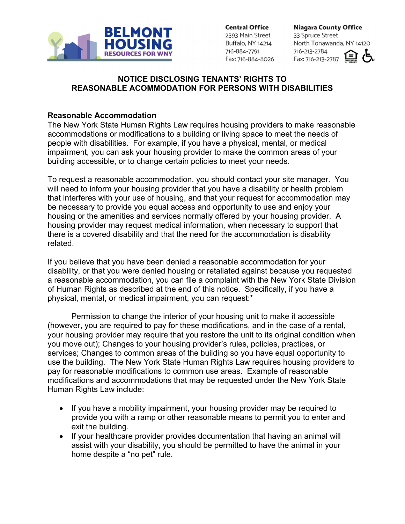

**Central Office** 

2393 Main Street Buffalo, NY 14214 716-884-7791 Fax: 716-884-8026 **Niagara County Office** 33 Spruce Street North Tonawanda, NY 14120 716-213-2784 Fax: 716-213-2787

## **NOTICE DISCLOSING TENANTS' RIGHTS TO REASONABLE ACOMMODATION FOR PERSONS WITH DISABILITIES**

## **Reasonable Accommodation**

The New York State Human Rights Law requires housing providers to make reasonable accommodations or modifications to a building or living space to meet the needs of people with disabilities. For example, if you have a physical, mental, or medical impairment, you can ask your housing provider to make the common areas of your building accessible, or to change certain policies to meet your needs.

To request a reasonable accommodation, you should contact your site manager. You will need to inform your housing provider that you have a disability or health problem that interferes with your use of housing, and that your request for accommodation may be necessary to provide you equal access and opportunity to use and enjoy your housing or the amenities and services normally offered by your housing provider. A housing provider may request medical information, when necessary to support that there is a covered disability and that the need for the accommodation is disability related.

If you believe that you have been denied a reasonable accommodation for your disability, or that you were denied housing or retaliated against because you requested a reasonable accommodation, you can file a complaint with the New York State Division of Human Rights as described at the end of this notice. Specifically, if you have a physical, mental, or medical impairment, you can request:\*

 Permission to change the interior of your housing unit to make it accessible (however, you are required to pay for these modifications, and in the case of a rental, your housing provider may require that you restore the unit to its original condition when you move out); Changes to your housing provider's rules, policies, practices, or services; Changes to common areas of the building so you have equal opportunity to use the building. The New York State Human Rights Law requires housing providers to pay for reasonable modifications to common use areas. Example of reasonable modifications and accommodations that may be requested under the New York State Human Rights Law include:

- If you have a mobility impairment, your housing provider may be required to provide you with a ramp or other reasonable means to permit you to enter and exit the building.
- If your healthcare provider provides documentation that having an animal will assist with your disability, you should be permitted to have the animal in your home despite a "no pet" rule.